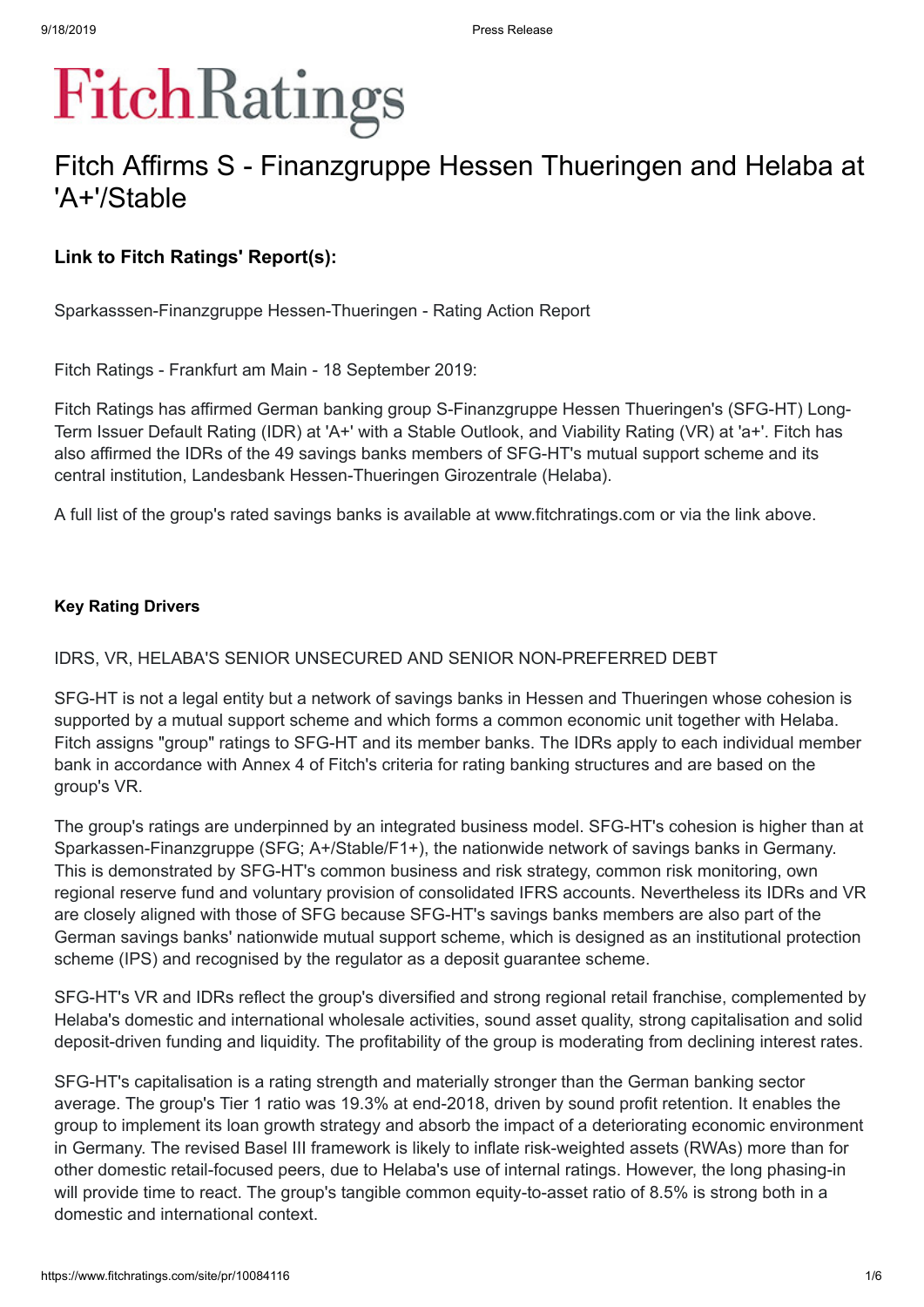# **FitchRatings**

## Fitch Affirms S - Finanzgruppe Hessen Thueringen and Helaba at 'A+'/Stable

### **Link to Fitch Ratings' Report(s):**

[Sparkasssen-Finanzgruppe](https://www.fitchratings.com/site/re/10089918) Hessen-Thueringen - Rating Action Report

Fitch Ratings - Frankfurt am Main - 18 September 2019:

Fitch Ratings has affirmed German banking group S-Finanzgruppe Hessen Thueringen's (SFG-HT) Long-Term Issuer Default Rating (IDR) at 'A+' with a Stable Outlook, and Viability Rating (VR) at 'a+'. Fitch has also affirmed the IDRs of the 49 savings banks members of SFG-HT's mutual support scheme and its central institution, Landesbank Hessen-Thueringen Girozentrale (Helaba).

A full list of the group's rated savings banks is available at [www.fitchratings.com](https://www.fitchratings.com/) or via the link above.

#### **Key Rating Drivers**

#### IDRS, VR, HELABA'S SENIOR UNSECURED AND SENIOR NON-PREFERRED DEBT

SFG-HT is not a legal entity but a network of savings banks in Hessen and Thueringen whose cohesion is supported by a mutual support scheme and which forms a common economic unit together with Helaba. Fitch assigns "group" ratings to SFG-HT and its member banks. The IDRs apply to each individual member bank in accordance with Annex 4 of Fitch's criteria for rating banking structures and are based on the group's VR.

The group's ratings are underpinned by an integrated business model. SFG-HT's cohesion is higher than at Sparkassen-Finanzgruppe (SFG; A+/Stable/F1+), the nationwide network of savings banks in Germany. This is demonstrated by SFG-HT's common business and risk strategy, common risk monitoring, own regional reserve fund and voluntary provision of consolidated IFRS accounts. Nevertheless its IDRs and VR are closely aligned with those of SFG because SFG-HT's savings banks members are also part of the German savings banks' nationwide mutual support scheme, which is designed as an institutional protection scheme (IPS) and recognised by the regulator as a deposit guarantee scheme.

SFG-HT's VR and IDRs reflect the group's diversified and strong regional retail franchise, complemented by Helaba's domestic and international wholesale activities, sound asset quality, strong capitalisation and solid deposit-driven funding and liquidity. The profitability of the group is moderating from declining interest rates.

SFG-HT's capitalisation is a rating strength and materially stronger than the German banking sector average. The group's Tier 1 ratio was 19.3% at end-2018, driven by sound profit retention. It enables the group to implement its loan growth strategy and absorb the impact of a deteriorating economic environment in Germany. The revised Basel III framework is likely to inflate risk-weighted assets (RWAs) more than for other domestic retail-focused peers, due to Helaba's use of internal ratings. However, the long phasing-in will provide time to react. The group's tangible common equity-to-asset ratio of 8.5% is strong both in a domestic and international context.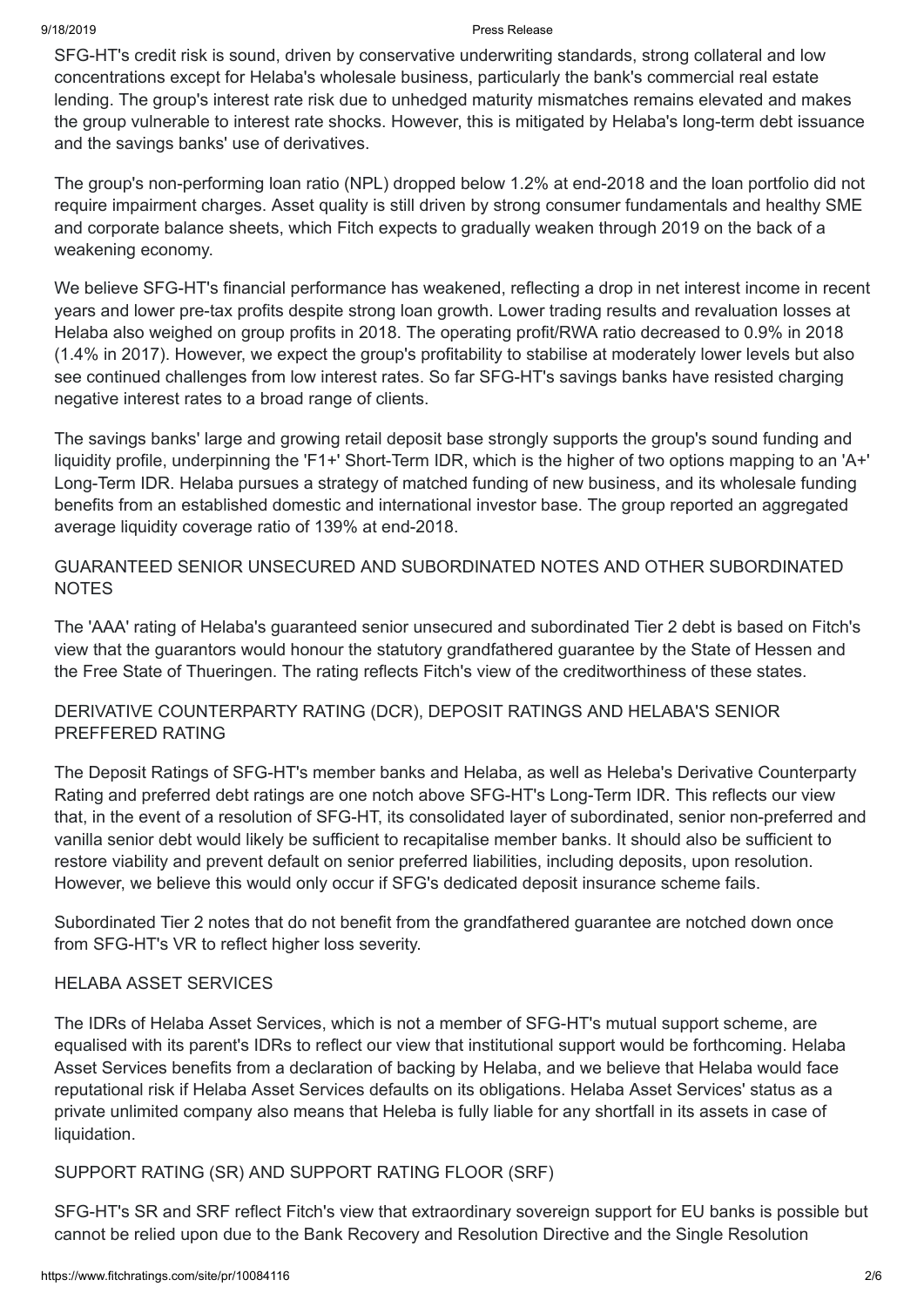SFG-HT's credit risk is sound, driven by conservative underwriting standards, strong collateral and low concentrations except for Helaba's wholesale business, particularly the bank's commercial real estate lending. The group's interest rate risk due to unhedged maturity mismatches remains elevated and makes the group vulnerable to interest rate shocks. However, this is mitigated by Helaba's long-term debt issuance and the savings banks' use of derivatives.

The group's non-performing loan ratio (NPL) dropped below 1.2% at end-2018 and the loan portfolio did not require impairment charges. Asset quality is still driven by strong consumer fundamentals and healthy SME and corporate balance sheets, which Fitch expects to gradually weaken through 2019 on the back of a weakening economy.

We believe SFG-HT's financial performance has weakened, reflecting a drop in net interest income in recent years and lower pre-tax profits despite strong loan growth. Lower trading results and revaluation losses at Helaba also weighed on group profits in 2018. The operating profit/RWA ratio decreased to 0.9% in 2018 (1.4% in 2017). However, we expect the group's profitability to stabilise at moderately lower levels but also see continued challenges from low interest rates. So far SFG-HT's savings banks have resisted charging negative interest rates to a broad range of clients.

The savings banks' large and growing retail deposit base strongly supports the group's sound funding and liquidity profile, underpinning the 'F1+' Short-Term IDR, which is the higher of two options mapping to an 'A+' Long-Term IDR. Helaba pursues a strategy of matched funding of new business, and its wholesale funding benefits from an established domestic and international investor base. The group reported an aggregated average liquidity coverage ratio of 139% at end-2018.

GUARANTEED SENIOR UNSECURED AND SUBORDINATED NOTES AND OTHER SUBORDINATED **NOTES** 

The 'AAA' rating of Helaba's guaranteed senior unsecured and subordinated Tier 2 debt is based on Fitch's view that the guarantors would honour the statutory grandfathered guarantee by the State of Hessen and the Free State of Thueringen. The rating reflects Fitch's view of the creditworthiness of these states.

DERIVATIVE COUNTERPARTY RATING (DCR), DEPOSIT RATINGS AND HELABA'S SENIOR PREFFERED RATING

The Deposit Ratings of SFG-HT's member banks and Helaba, as well as Heleba's Derivative Counterparty Rating and preferred debt ratings are one notch above SFG-HT's Long-Term IDR. This reflects our view that, in the event of a resolution of SFG-HT, its consolidated layer of subordinated, senior non-preferred and vanilla senior debt would likely be sufficient to recapitalise member banks. It should also be sufficient to restore viability and prevent default on senior preferred liabilities, including deposits, upon resolution. However, we believe this would only occur if SFG's dedicated deposit insurance scheme fails.

Subordinated Tier 2 notes that do not benefit from the grandfathered guarantee are notched down once from SFG-HT's VR to reflect higher loss severity.

#### HELABA ASSET SERVICES

The IDRs of Helaba Asset Services, which is not a member of SFG-HT's mutual support scheme, are equalised with its parent's IDRs to reflect our view that institutional support would be forthcoming. Helaba Asset Services benefits from a declaration of backing by Helaba, and we believe that Helaba would face reputational risk if Helaba Asset Services defaults on its obligations. Helaba Asset Services' status as a private unlimited company also means that Heleba is fully liable for any shortfall in its assets in case of liquidation.

SUPPORT RATING (SR) AND SUPPORT RATING FLOOR (SRF)

SFG-HT's SR and SRF reflect Fitch's view that extraordinary sovereign support for EU banks is possible but cannot be relied upon due to the Bank Recovery and Resolution Directive and the Single Resolution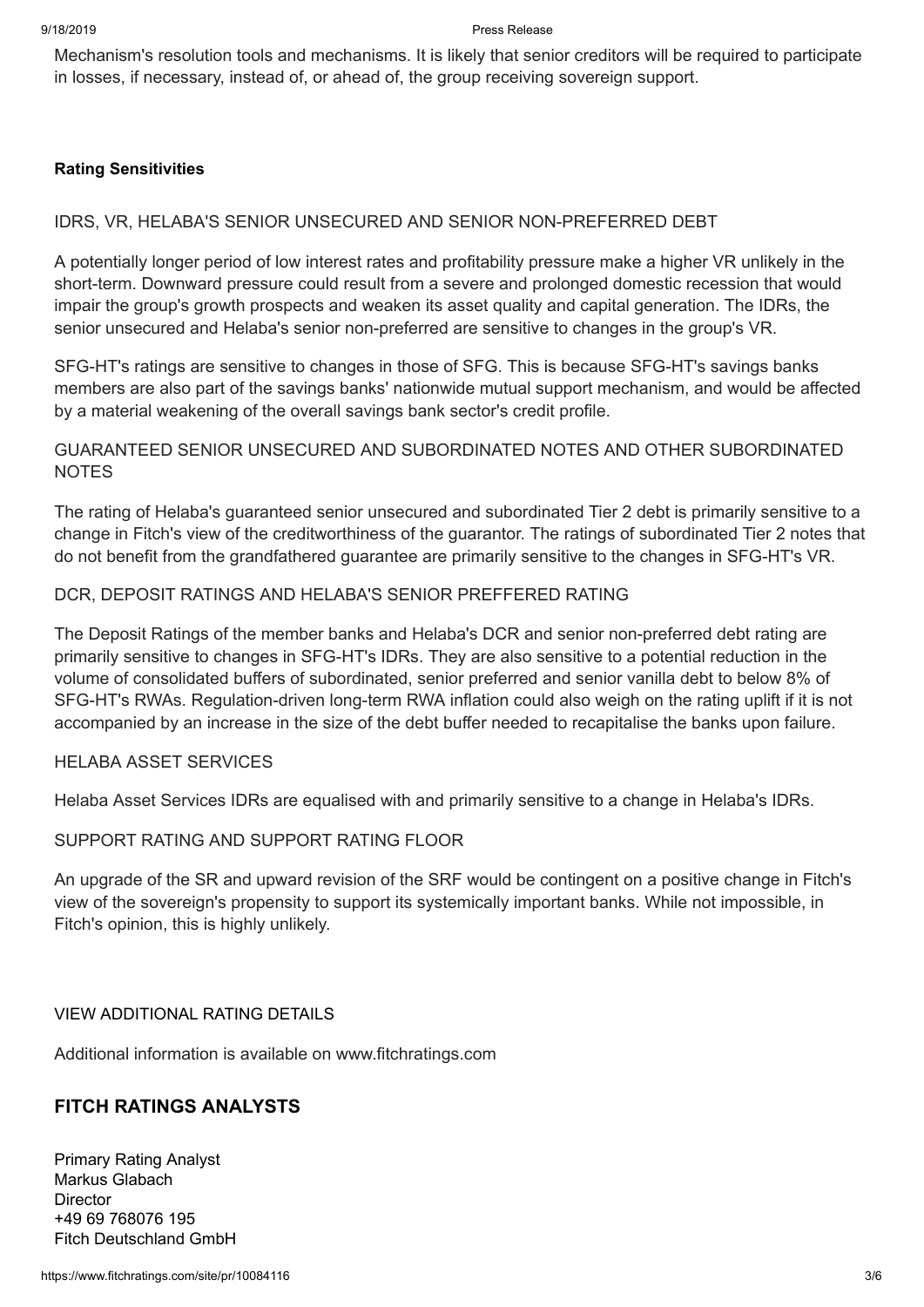Mechanism's resolution tools and mechanisms. It is likely that senior creditors will be required to participate in losses, if necessary, instead of, or ahead of, the group receiving sovereign support.

#### **Rating Sensitivities**

#### IDRS, VR, HELABA'S SENIOR UNSECURED AND SENIOR NON-PREFERRED DEBT

A potentially longer period of low interest rates and profitability pressure make a higher VR unlikely in the short-term. Downward pressure could result from a severe and prolonged domestic recession that would impair the group's growth prospects and weaken its asset quality and capital generation. The IDRs, the senior unsecured and Helaba's senior non-preferred are sensitive to changes in the group's VR.

SFG-HT's ratings are sensitive to changes in those of SFG. This is because SFG-HT's savings banks members are also part of the savings banks' nationwide mutual support mechanism, and would be affected by a material weakening of the overall savings bank sector's credit profile.

#### GUARANTEED SENIOR UNSECURED AND SUBORDINATED NOTES AND OTHER SUBORDINATED **NOTES**

The rating of Helaba's guaranteed senior unsecured and subordinated Tier 2 debt is primarily sensitive to a change in Fitch's view of the creditworthiness of the guarantor. The ratings of subordinated Tier 2 notes that do not benefit from the grandfathered guarantee are primarily sensitive to the changes in SFG-HT's VR.

#### DCR, DEPOSIT RATINGS AND HELABA'S SENIOR PREFFERED RATING

The Deposit Ratings of the member banks and Helaba's DCR and senior non-preferred debt rating are primarily sensitive to changes in SFG-HT's IDRs. They are also sensitive to a potential reduction in the volume of consolidated buffers of subordinated, senior preferred and senior vanilla debt to below 8% of SFG-HT's RWAs. Regulation-driven long-term RWA inflation could also weigh on the rating uplift if it is not accompanied by an increase in the size of the debt buffer needed to recapitalise the banks upon failure.

#### HELABA ASSET SERVICES

Helaba Asset Services IDRs are equalised with and primarily sensitive to a change in Helaba's IDRs.

#### SUPPORT RATING AND SUPPORT RATING FLOOR

An upgrade of the SR and upward revision of the SRF would be contingent on a positive change in Fitch's view of the sovereign's propensity to support its systemically important banks. While not impossible, in Fitch's opinion, this is highly unlikely.

#### VIEW ADDITIONAL RATING DETAILS

Additional information is available on www.fitchratings.com

#### **FITCH RATINGS ANALYSTS**

Primary Rating Analyst Markus Glabach **Director** +49 69 768076 195 Fitch Deutschland GmbH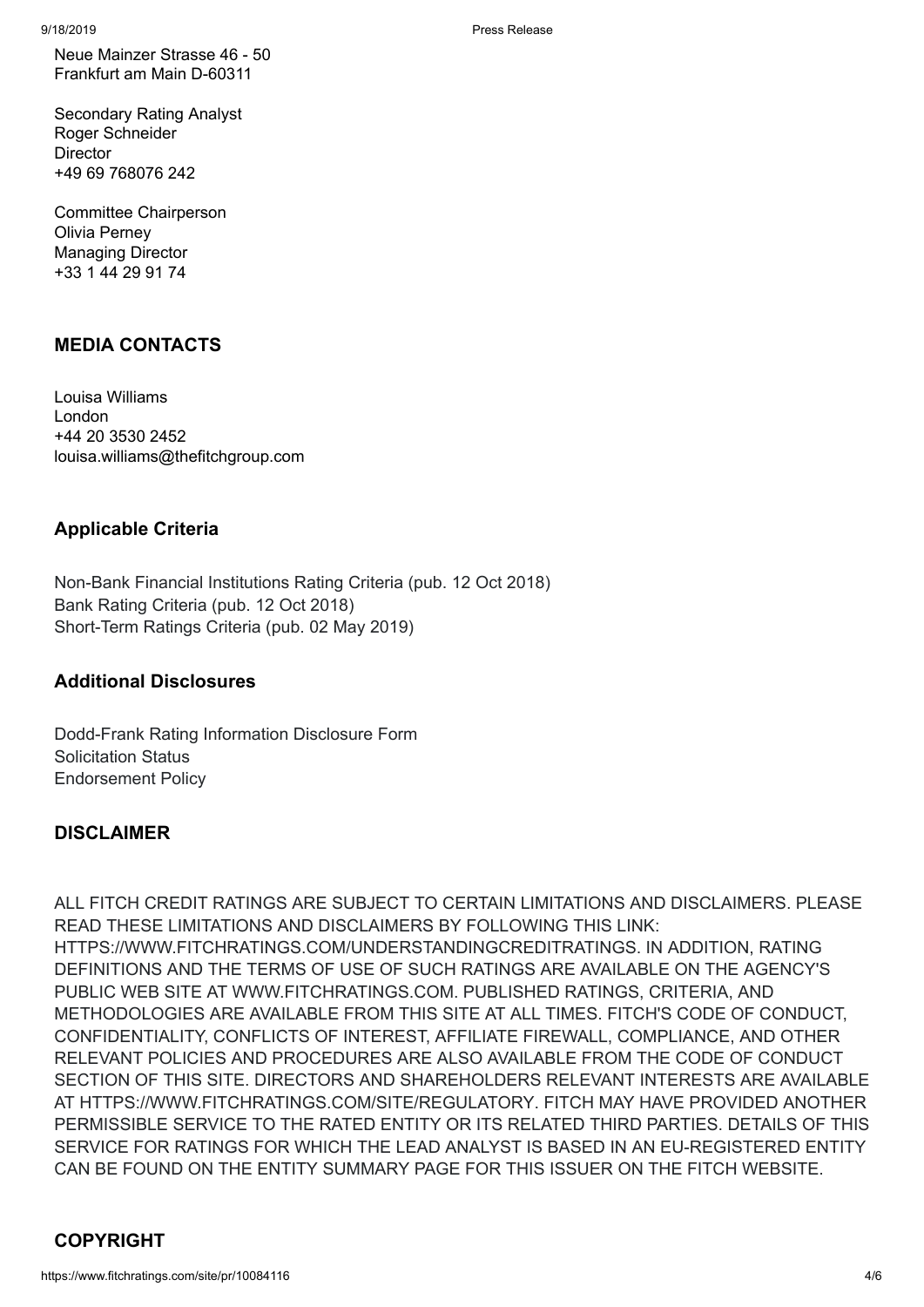Neue Mainzer Strasse 46 - 50 Frankfurt am Main D-60311

Secondary Rating Analyst Roger Schneider **Director** +49 69 768076 242

Committee Chairperson Olivia Perney Managing Director +33 1 44 29 91 74

### **MEDIA CONTACTS**

Louisa Williams London +44 20 3530 2452 louisa.williams@thefitchgroup.com

#### **Applicable Criteria**

Non-Bank Financial [Institutions](https://www.fitchratings.com/site/re/10044407) Rating Criteria (pub. 12 Oct 2018) Bank Rating [Criteria](https://www.fitchratings.com/site/re/10044408) (pub. 12 Oct 2018) [Short-Term](https://www.fitchratings.com/site/re/10073011) Ratings Criteria (pub. 02 May 2019)

#### **Additional Disclosures**

[Dodd-Frank](https://www.fitchratings.com/site/dodd-frank-disclosure/10084116) Rating Information Disclosure Form Solicitation Status [Endorsement](https://www.fitchratings.com/site/regulatory) Policy

#### **DISCLAIMER**

ALL FITCH CREDIT RATINGS ARE SUBJECT TO CERTAIN LIMITATIONS AND DISCLAIMERS. PLEASE READ THESE LIMITATIONS AND DISCLAIMERS BY FOLLOWING THIS LINK: [HTTPS://WWW.FITCHRATINGS.COM/UNDERSTANDINGCREDITRATINGS](https://www.fitchratings.com/UNDERSTANDINGCREDITRATINGS). IN ADDITION, RATING DEFINITIONS AND THE TERMS OF USE OF SUCH RATINGS ARE AVAILABLE ON THE AGENCY'S PUBLIC WEB SITE AT [WWW.FITCHRATINGS.COM](https://www.fitchratings.com/site/home). PUBLISHED RATINGS, CRITERIA, AND METHODOLOGIES ARE AVAILABLE FROM THIS SITE AT ALL TIMES. FITCH'S CODE OF CONDUCT, CONFIDENTIALITY, CONFLICTS OF INTEREST, AFFILIATE FIREWALL, COMPLIANCE, AND OTHER RELEVANT POLICIES AND PROCEDURES ARE ALSO AVAILABLE FROM THE CODE OF CONDUCT SECTION OF THIS SITE. DIRECTORS AND SHAREHOLDERS RELEVANT INTERESTS ARE AVAILABLE AT [HTTPS://WWW.FITCHRATINGS.COM/SITE/REGULATORY](https://www.fitchratings.com/site/regulatory). FITCH MAY HAVE PROVIDED ANOTHER PERMISSIBLE SERVICE TO THE RATED ENTITY OR ITS RELATED THIRD PARTIES. DETAILS OF THIS SERVICE FOR RATINGS FOR WHICH THE LEAD ANALYST IS BASED IN AN EU-REGISTERED ENTITY CAN BE FOUND ON THE ENTITY SUMMARY PAGE FOR THIS ISSUER ON THE FITCH WEBSITE.

#### **COPYRIGHT**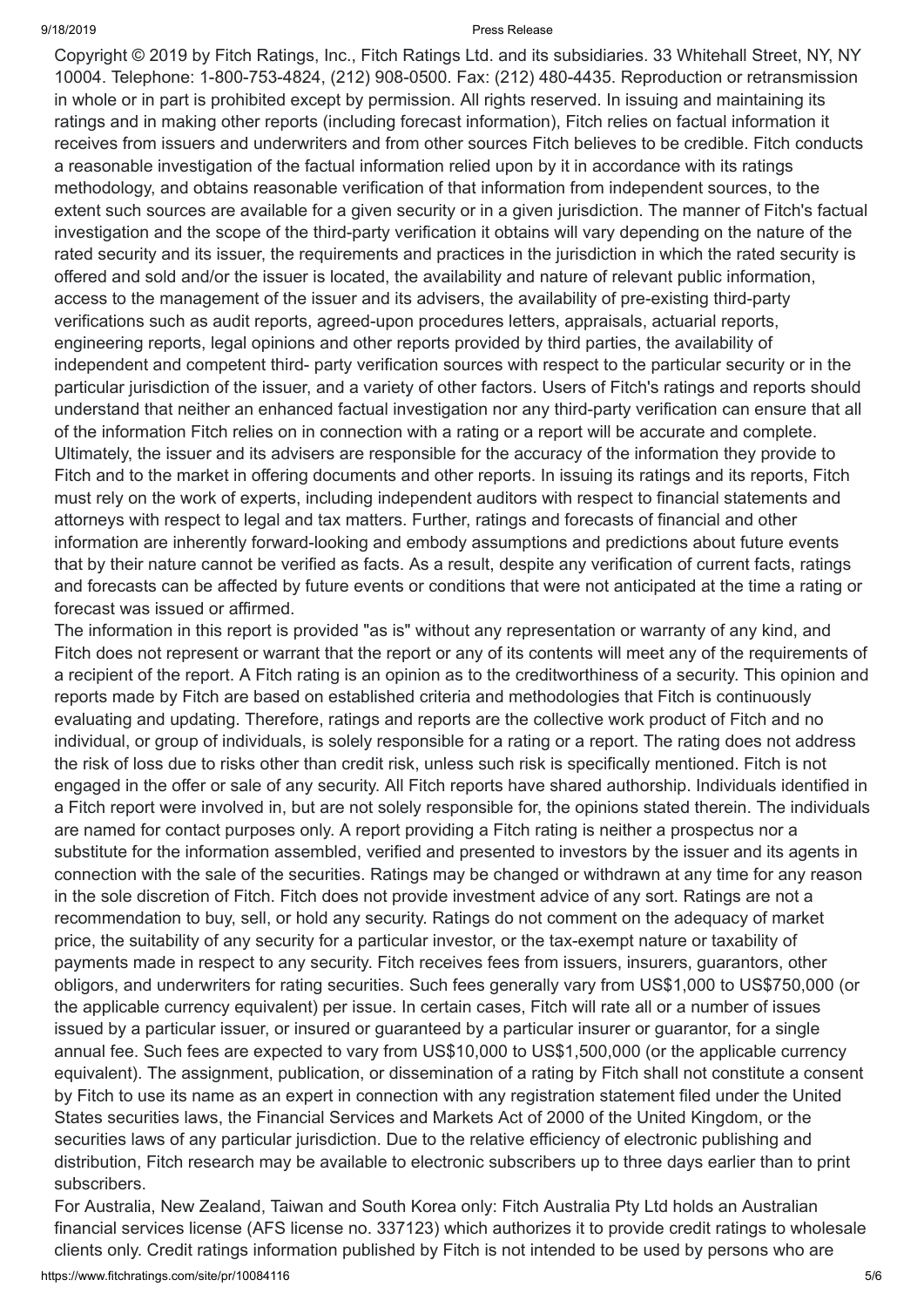Copyright © 2019 by Fitch Ratings, Inc., Fitch Ratings Ltd. and its subsidiaries. 33 Whitehall Street, NY, NY 10004. Telephone: 1-800-753-4824, (212) 908-0500. Fax: (212) 480-4435. Reproduction or retransmission in whole or in part is prohibited except by permission. All rights reserved. In issuing and maintaining its ratings and in making other reports (including forecast information), Fitch relies on factual information it receives from issuers and underwriters and from other sources Fitch believes to be credible. Fitch conducts a reasonable investigation of the factual information relied upon by it in accordance with its ratings methodology, and obtains reasonable verification of that information from independent sources, to the extent such sources are available for a given security or in a given jurisdiction. The manner of Fitch's factual investigation and the scope of the third-party verification it obtains will vary depending on the nature of the rated security and its issuer, the requirements and practices in the jurisdiction in which the rated security is offered and sold and/or the issuer is located, the availability and nature of relevant public information, access to the management of the issuer and its advisers, the availability of pre-existing third-party verifications such as audit reports, agreed-upon procedures letters, appraisals, actuarial reports, engineering reports, legal opinions and other reports provided by third parties, the availability of independent and competent third- party verification sources with respect to the particular security or in the particular jurisdiction of the issuer, and a variety of other factors. Users of Fitch's ratings and reports should understand that neither an enhanced factual investigation nor any third-party verification can ensure that all of the information Fitch relies on in connection with a rating or a report will be accurate and complete. Ultimately, the issuer and its advisers are responsible for the accuracy of the information they provide to Fitch and to the market in offering documents and other reports. In issuing its ratings and its reports, Fitch must rely on the work of experts, including independent auditors with respect to financial statements and attorneys with respect to legal and tax matters. Further, ratings and forecasts of financial and other information are inherently forward-looking and embody assumptions and predictions about future events that by their nature cannot be verified as facts. As a result, despite any verification of current facts, ratings and forecasts can be affected by future events or conditions that were not anticipated at the time a rating or forecast was issued or affirmed.

The information in this report is provided "as is" without any representation or warranty of any kind, and Fitch does not represent or warrant that the report or any of its contents will meet any of the requirements of a recipient of the report. A Fitch rating is an opinion as to the creditworthiness of a security. This opinion and reports made by Fitch are based on established criteria and methodologies that Fitch is continuously evaluating and updating. Therefore, ratings and reports are the collective work product of Fitch and no individual, or group of individuals, is solely responsible for a rating or a report. The rating does not address the risk of loss due to risks other than credit risk, unless such risk is specifically mentioned. Fitch is not engaged in the offer or sale of any security. All Fitch reports have shared authorship. Individuals identified in a Fitch report were involved in, but are not solely responsible for, the opinions stated therein. The individuals are named for contact purposes only. A report providing a Fitch rating is neither a prospectus nor a substitute for the information assembled, verified and presented to investors by the issuer and its agents in connection with the sale of the securities. Ratings may be changed or withdrawn at any time for any reason in the sole discretion of Fitch. Fitch does not provide investment advice of any sort. Ratings are not a recommendation to buy, sell, or hold any security. Ratings do not comment on the adequacy of market price, the suitability of any security for a particular investor, or the tax-exempt nature or taxability of payments made in respect to any security. Fitch receives fees from issuers, insurers, guarantors, other obligors, and underwriters for rating securities. Such fees generally vary from US\$1,000 to US\$750,000 (or the applicable currency equivalent) per issue. In certain cases, Fitch will rate all or a number of issues issued by a particular issuer, or insured or guaranteed by a particular insurer or guarantor, for a single annual fee. Such fees are expected to vary from US\$10,000 to US\$1,500,000 (or the applicable currency equivalent). The assignment, publication, or dissemination of a rating by Fitch shall not constitute a consent by Fitch to use its name as an expert in connection with any registration statement filed under the United States securities laws, the Financial Services and Markets Act of 2000 of the United Kingdom, or the securities laws of any particular jurisdiction. Due to the relative efficiency of electronic publishing and distribution, Fitch research may be available to electronic subscribers up to three days earlier than to print subscribers.

https://www.fitchratings.com/site/pr/10084116 5/6 For Australia, New Zealand, Taiwan and South Korea only: Fitch Australia Pty Ltd holds an Australian financial services license (AFS license no. 337123) which authorizes it to provide credit ratings to wholesale clients only. Credit ratings information published by Fitch is not intended to be used by persons who are